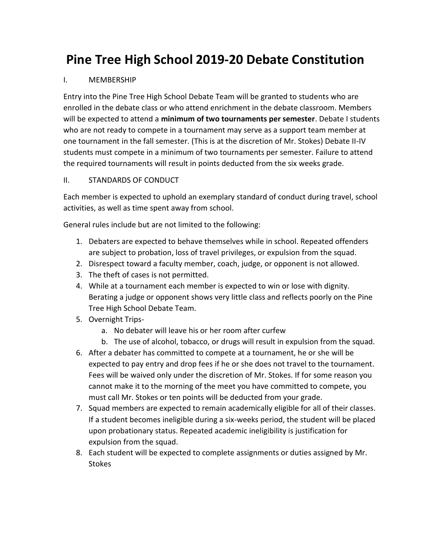## **Pine Tree High School 2019-20 Debate Constitution**

## I. MEMBERSHIP

Entry into the Pine Tree High School Debate Team will be granted to students who are enrolled in the debate class or who attend enrichment in the debate classroom. Members will be expected to attend a **minimum of two tournaments per semester**. Debate I students who are not ready to compete in a tournament may serve as a support team member at one tournament in the fall semester. (This is at the discretion of Mr. Stokes) Debate II-IV students must compete in a minimum of two tournaments per semester. Failure to attend the required tournaments will result in points deducted from the six weeks grade.

## II. STANDARDS OF CONDUCT

Each member is expected to uphold an exemplary standard of conduct during travel, school activities, as well as time spent away from school.

General rules include but are not limited to the following:

- 1. Debaters are expected to behave themselves while in school. Repeated offenders are subject to probation, loss of travel privileges, or expulsion from the squad.
- 2. Disrespect toward a faculty member, coach, judge, or opponent is not allowed.
- 3. The theft of cases is not permitted.
- 4. While at a tournament each member is expected to win or lose with dignity. Berating a judge or opponent shows very little class and reflects poorly on the Pine Tree High School Debate Team.
- 5. Overnight Trips
	- a. No debater will leave his or her room after curfew
	- b. The use of alcohol, tobacco, or drugs will result in expulsion from the squad.
- 6. After a debater has committed to compete at a tournament, he or she will be expected to pay entry and drop fees if he or she does not travel to the tournament. Fees will be waived only under the discretion of Mr. Stokes. If for some reason you cannot make it to the morning of the meet you have committed to compete, you must call Mr. Stokes or ten points will be deducted from your grade.
- 7. Squad members are expected to remain academically eligible for all of their classes. If a student becomes ineligible during a six-weeks period, the student will be placed upon probationary status. Repeated academic ineligibility is justification for expulsion from the squad.
- 8. Each student will be expected to complete assignments or duties assigned by Mr. **Stokes**